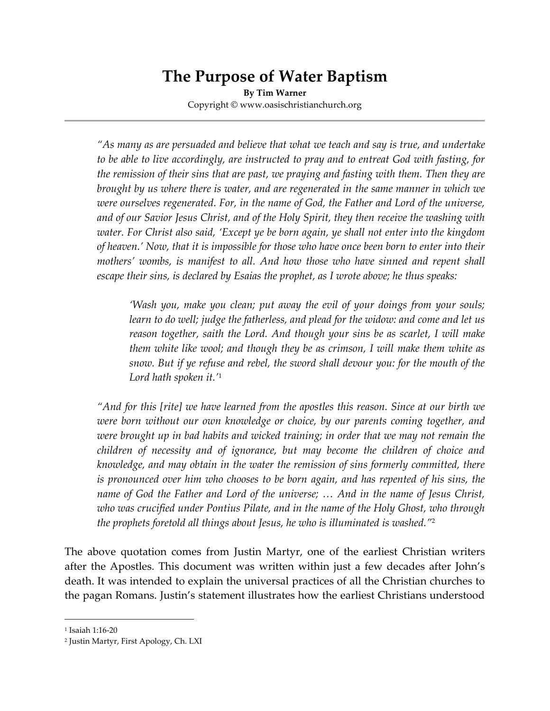# **The Purpose of Water Baptism**

**By Tim Warner** Copyright © www.oasischristianchurch.org

*"As many as are persuaded and believe that what we teach and say is true, and undertake to be able to live accordingly, are instructed to pray and to entreat God with fasting, for the remission of their sins that are past, we praying and fasting with them. Then they are brought by us where there is water, and are regenerated in the same manner in which we were ourselves regenerated. For, in the name of God, the Father and Lord of the universe, and of our Savior Jesus Christ, and of the Holy Spirit, they then receive the washing with water. For Christ also said, 'Except ye be born again, ye shall not enter into the kingdom of heaven.' Now, that it is impossible for those who have once been born to enter into their mothers' wombs, is manifest to all. And how those who have sinned and repent shall escape their sins, is declared by Esaias the prophet, as I wrote above; he thus speaks:*

*'Wash you, make you clean; put away the evil of your doings from your souls; learn to do well; judge the fatherless, and plead for the widow: and come and let us reason together, saith the Lord. And though your sins be as scarlet, I will make them white like wool; and though they be as crimson, I will make them white as snow. But if ye refuse and rebel, the sword shall devour you: for the mouth of the Lord hath spoken it.'* 1

*"And for this [rite] we have learned from the apostles this reason. Since at our birth we were born without our own knowledge or choice, by our parents coming together, and were brought up in bad habits and wicked training; in order that we may not remain the children of necessity and of ignorance, but may become the children of choice and knowledge, and may obtain in the water the remission of sins formerly committed, there is pronounced over him who chooses to be born again, and has repented of his sins, the name of God the Father and Lord of the universe; … And in the name of Jesus Christ, who was crucified under Pontius Pilate, and in the name of the Holy Ghost, who through the prophets foretold all things about Jesus, he who is illuminated is washed."* 2

The above quotation comes from Justin Martyr, one of the earliest Christian writers after the Apostles. This document was written within just a few decades after John's death. It was intended to explain the universal practices of all the Christian churches to the pagan Romans. Justin's statement illustrates how the earliest Christians understood

<sup>1</sup> Isaiah 1:16-20

<sup>2</sup> Justin Martyr, First Apology, Ch. LXI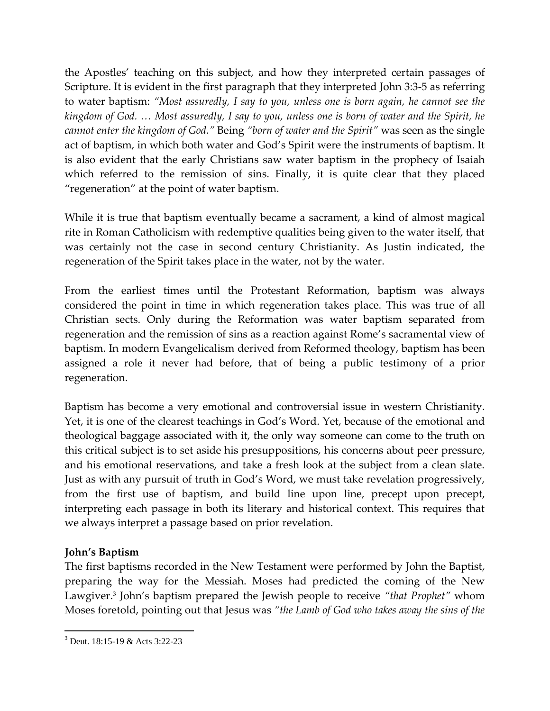the Apostles' teaching on this subject, and how they interpreted certain passages of Scripture. It is evident in the first paragraph that they interpreted John 3:3-5 as referring to water baptism: *"Most assuredly, I say to you, unless one is born again, he cannot see the kingdom of God. … Most assuredly, I say to you, unless one is born of water and the Spirit, he cannot enter the kingdom of God."* Being *"born of water and the Spirit"* was seen as the single act of baptism, in which both water and God's Spirit were the instruments of baptism. It is also evident that the early Christians saw water baptism in the prophecy of Isaiah which referred to the remission of sins. Finally, it is quite clear that they placed "regeneration" at the point of water baptism.

While it is true that baptism eventually became a sacrament, a kind of almost magical rite in Roman Catholicism with redemptive qualities being given to the water itself, that was certainly not the case in second century Christianity. As Justin indicated, the regeneration of the Spirit takes place in the water, not by the water.

From the earliest times until the Protestant Reformation, baptism was always considered the point in time in which regeneration takes place. This was true of all Christian sects. Only during the Reformation was water baptism separated from regeneration and the remission of sins as a reaction against Rome's sacramental view of baptism. In modern Evangelicalism derived from Reformed theology, baptism has been assigned a role it never had before, that of being a public testimony of a prior regeneration.

Baptism has become a very emotional and controversial issue in western Christianity. Yet, it is one of the clearest teachings in God's Word. Yet, because of the emotional and theological baggage associated with it, the only way someone can come to the truth on this critical subject is to set aside his presuppositions, his concerns about peer pressure, and his emotional reservations, and take a fresh look at the subject from a clean slate. Just as with any pursuit of truth in God's Word, we must take revelation progressively, from the first use of baptism, and build line upon line, precept upon precept, interpreting each passage in both its literary and historical context. This requires that we always interpret a passage based on prior revelation.

# **John's Baptism**

 $\overline{a}$ 

The first baptisms recorded in the New Testament were performed by John the Baptist, preparing the way for the Messiah. Moses had predicted the coming of the New Lawgiver. 3 John's baptism prepared the Jewish people to receive *"that Prophet"* whom Moses foretold, pointing out that Jesus was *"the Lamb of God who takes away the sins of the* 

 $3$  Deut. 18:15-19 & Acts 3:22-23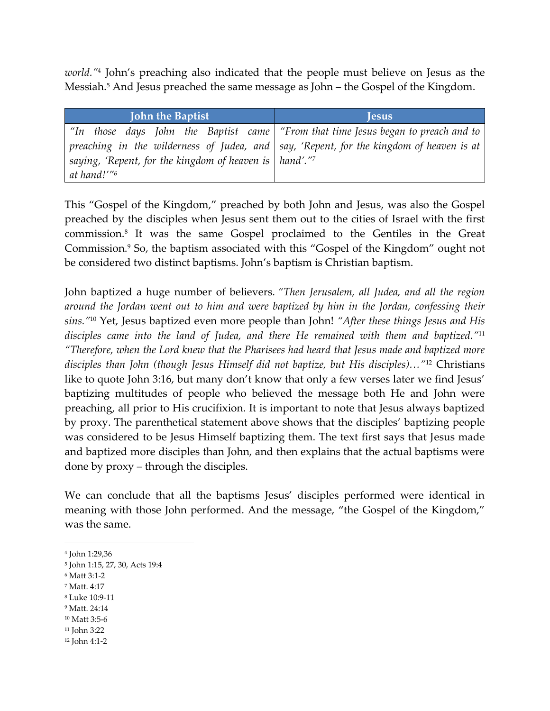*world."* 4 John's preaching also indicated that the people must believe on Jesus as the Messiah. <sup>5</sup> And Jesus preached the same message as John – the Gospel of the Kingdom.

| <b>John the Baptist</b>                                       | <b>lesus</b>                                                                                    |
|---------------------------------------------------------------|-------------------------------------------------------------------------------------------------|
|                                                               | "In those days John the Baptist came   "From that time Jesus began to preach and to             |
|                                                               | preaching in the wilderness of Judea, and $\vert$ say, 'Repent, for the kingdom of heaven is at |
| saying, 'Repent, for the kingdom of heaven is $\vert$ hand'." |                                                                                                 |
| at hand!'" <sup>6</sup>                                       |                                                                                                 |

This "Gospel of the Kingdom," preached by both John and Jesus, was also the Gospel preached by the disciples when Jesus sent them out to the cities of Israel with the first commission. 8 It was the same Gospel proclaimed to the Gentiles in the Great Commission.<sup>9</sup> So, the baptism associated with this "Gospel of the Kingdom" ought not be considered two distinct baptisms. John's baptism is Christian baptism.

John baptized a huge number of believers. *"Then Jerusalem, all Judea, and all the region around the Jordan went out to him and were baptized by him in the Jordan, confessing their sins."*<sup>10</sup> Yet, Jesus baptized even more people than John! *"After these things Jesus and His disciples came into the land of Judea, and there He remained with them and baptized."* 11 *"Therefore, when the Lord knew that the Pharisees had heard that Jesus made and baptized more disciples than John (though Jesus Himself did not baptize, but His disciples)…"*<sup>12</sup> Christians like to quote John 3:16, but many don't know that only a few verses later we find Jesus' baptizing multitudes of people who believed the message both He and John were preaching, all prior to His crucifixion. It is important to note that Jesus always baptized by proxy. The parenthetical statement above shows that the disciples' baptizing people was considered to be Jesus Himself baptizing them. The text first says that Jesus made and baptized more disciples than John, and then explains that the actual baptisms were done by proxy – through the disciples.

We can conclude that all the baptisms Jesus' disciples performed were identical in meaning with those John performed. And the message, "the Gospel of the Kingdom," was the same.

<sup>6</sup> Matt 3:1-2

- <sup>7</sup> Matt. 4:17
- <sup>8</sup> Luke 10:9-11
- <sup>9</sup> Matt. 24:14
- <sup>10</sup> Matt 3:5-6
- <sup>11</sup> John 3:22
- <sup>12</sup> John 4:1-2

<sup>4</sup> John 1:29,36

<sup>5</sup> John 1:15, 27, 30, Acts 19:4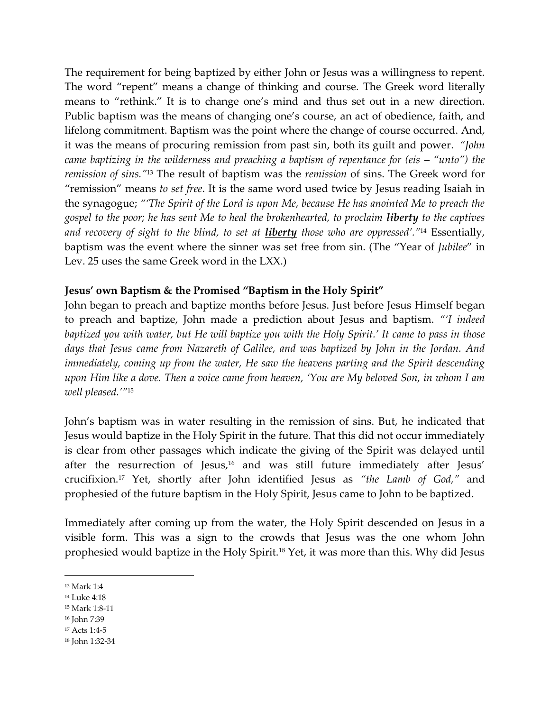The requirement for being baptized by either John or Jesus was a willingness to repent. The word "repent" means a change of thinking and course. The Greek word literally means to "rethink." It is to change one's mind and thus set out in a new direction. Public baptism was the means of changing one's course, an act of obedience, faith, and lifelong commitment. Baptism was the point where the change of course occurred. And, it was the means of procuring remission from past sin, both its guilt and power. *"John came baptizing in the wilderness and preaching a baptism of repentance for (eis – "unto") the remission of sins."*<sup>13</sup> The result of baptism was the *remission* of sins. The Greek word for "remission" means *to set free*. It is the same word used twice by Jesus reading Isaiah in the synagogue; *"'The Spirit of the Lord is upon Me, because He has anointed Me to preach the gospel to the poor; he has sent Me to heal the brokenhearted, to proclaim liberty to the captives and recovery of sight to the blind, to set at liberty those who are oppressed'."* <sup>14</sup> Essentially, baptism was the event where the sinner was set free from sin. (The "Year of *Jubilee*" in Lev. 25 uses the same Greek word in the LXX.)

# **Jesus' own Baptism & the Promised "Baptism in the Holy Spirit"**

John began to preach and baptize months before Jesus. Just before Jesus Himself began to preach and baptize, John made a prediction about Jesus and baptism. *"'I indeed baptized you with water, but He will baptize you with the Holy Spirit.' It came to pass in those days that Jesus came from Nazareth of Galilee, and was baptized by John in the Jordan. And immediately, coming up from the water, He saw the heavens parting and the Spirit descending upon Him like a dove. Then a voice came from heaven, 'You are My beloved Son, in whom I am well pleased.'"*<sup>15</sup>

John's baptism was in water resulting in the remission of sins. But, he indicated that Jesus would baptize in the Holy Spirit in the future. That this did not occur immediately is clear from other passages which indicate the giving of the Spirit was delayed until after the resurrection of Jesus, <sup>16</sup> and was still future immediately after Jesus' crucifixion. <sup>17</sup> Yet, shortly after John identified Jesus as *"the Lamb of God,"* and prophesied of the future baptism in the Holy Spirit, Jesus came to John to be baptized.

Immediately after coming up from the water, the Holy Spirit descended on Jesus in a visible form. This was a sign to the crowds that Jesus was the one whom John prophesied would baptize in the Holy Spirit.<sup>18</sup> Yet, it was more than this. Why did Jesus

- <sup>15</sup> Mark 1:8-11
- <sup>16</sup> John 7:39
- <sup>17</sup> Acts 1:4-5
- <sup>18</sup> John 1:32-34

<sup>13</sup> Mark 1:4

<sup>14</sup> Luke 4:18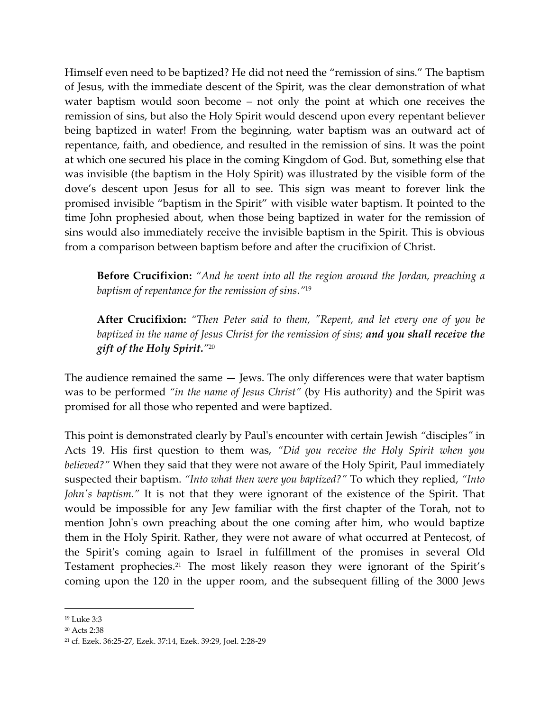Himself even need to be baptized? He did not need the "remission of sins." The baptism of Jesus, with the immediate descent of the Spirit, was the clear demonstration of what water baptism would soon become – not only the point at which one receives the remission of sins, but also the Holy Spirit would descend upon every repentant believer being baptized in water! From the beginning, water baptism was an outward act of repentance, faith, and obedience, and resulted in the remission of sins. It was the point at which one secured his place in the coming Kingdom of God. But, something else that was invisible (the baptism in the Holy Spirit) was illustrated by the visible form of the dove's descent upon Jesus for all to see. This sign was meant to forever link the promised invisible "baptism in the Spirit" with visible water baptism. It pointed to the time John prophesied about, when those being baptized in water for the remission of sins would also immediately receive the invisible baptism in the Spirit. This is obvious from a comparison between baptism before and after the crucifixion of Christ.

**Before Crucifixion:** *"And he went into all the region around the Jordan, preaching a baptism of repentance for the remission of sins."* 19

**After Crucifixion:** *"Then Peter said to them, "Repent, and let every one of you be baptized in the name of Jesus Christ for the remission of sins; and you shall receive the gift of the Holy Spirit."* 20

The audience remained the same — Jews. The only differences were that water baptism was to be performed *"in the name of Jesus Christ"* (by His authority) and the Spirit was promised for all those who repented and were baptized.

This point is demonstrated clearly by Paul's encounter with certain Jewish *"*disciples*"* in Acts 19. His first question to them was, *"Did you receive the Holy Spirit when you believed?"* When they said that they were not aware of the Holy Spirit, Paul immediately suspected their baptism. *"Into what then were you baptized?"* To which they replied, *"Into John's baptism."* It is not that they were ignorant of the existence of the Spirit. That would be impossible for any Jew familiar with the first chapter of the Torah, not to mention John's own preaching about the one coming after him, who would baptize them in the Holy Spirit. Rather, they were not aware of what occurred at Pentecost, of the Spirit's coming again to Israel in fulfillment of the promises in several Old Testament prophecies. <sup>21</sup> The most likely reason they were ignorant of the Spirit's coming upon the 120 in the upper room, and the subsequent filling of the 3000 Jews

<sup>19</sup> Luke 3:3

<sup>20</sup> Acts 2:38

<sup>21</sup> cf. Ezek. 36:25-27, Ezek. 37:14, Ezek. 39:29, Joel. 2:28-29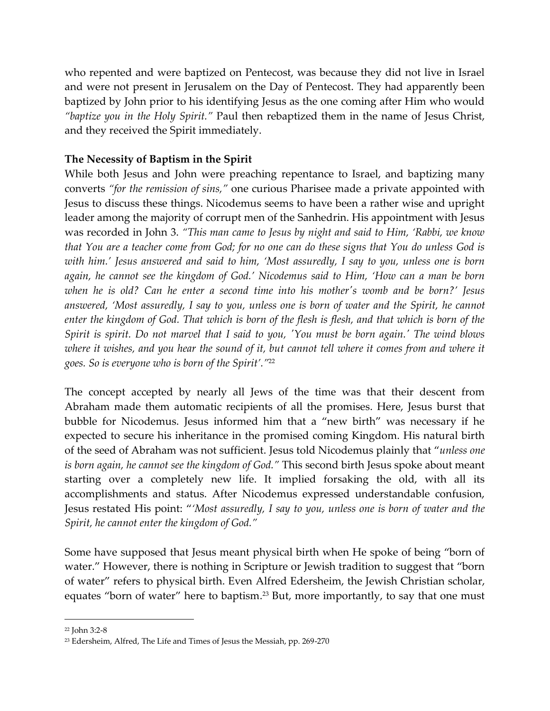who repented and were baptized on Pentecost, was because they did not live in Israel and were not present in Jerusalem on the Day of Pentecost. They had apparently been baptized by John prior to his identifying Jesus as the one coming after Him who would *"baptize you in the Holy Spirit."* Paul then rebaptized them in the name of Jesus Christ, and they received the Spirit immediately.

# **The Necessity of Baptism in the Spirit**

While both Jesus and John were preaching repentance to Israel, and baptizing many converts *"for the remission of sins,"* one curious Pharisee made a private appointed with Jesus to discuss these things. Nicodemus seems to have been a rather wise and upright leader among the majority of corrupt men of the Sanhedrin. His appointment with Jesus was recorded in John 3. *"This man came to Jesus by night and said to Him, 'Rabbi, we know that You are a teacher come from God; for no one can do these signs that You do unless God is with him.' Jesus answered and said to him, 'Most assuredly, I say to you, unless one is born again, he cannot see the kingdom of God.' Nicodemus said to Him, 'How can a man be born when he is old? Can he enter a second time into his mother's womb and be born?' Jesus*  answered, 'Most assuredly, I say to you, unless one is born of water and the Spirit, he cannot *enter the kingdom of God. That which is born of the flesh is flesh, and that which is born of the Spirit is spirit. Do not marvel that I said to you, 'You must be born again.' The wind blows where it wishes, and you hear the sound of it, but cannot tell where it comes from and where it goes. So is everyone who is born of the Spirit'."* 22

The concept accepted by nearly all Jews of the time was that their descent from Abraham made them automatic recipients of all the promises. Here, Jesus burst that bubble for Nicodemus. Jesus informed him that a "new birth" was necessary if he expected to secure his inheritance in the promised coming Kingdom. His natural birth of the seed of Abraham was not sufficient. Jesus told Nicodemus plainly that "*unless one is born again, he cannot see the kingdom of God."* This second birth Jesus spoke about meant starting over a completely new life. It implied forsaking the old, with all its accomplishments and status. After Nicodemus expressed understandable confusion, Jesus restated His point: "*'Most assuredly, I say to you, unless one is born of water and the Spirit, he cannot enter the kingdom of God."*

Some have supposed that Jesus meant physical birth when He spoke of being "born of water." However, there is nothing in Scripture or Jewish tradition to suggest that "born of water" refers to physical birth. Even Alfred Edersheim, the Jewish Christian scholar, equates "born of water" here to baptism. <sup>23</sup> But, more importantly, to say that one must

<sup>22</sup> John 3:2-8

<sup>23</sup> Edersheim, Alfred, The Life and Times of Jesus the Messiah, pp. 269-270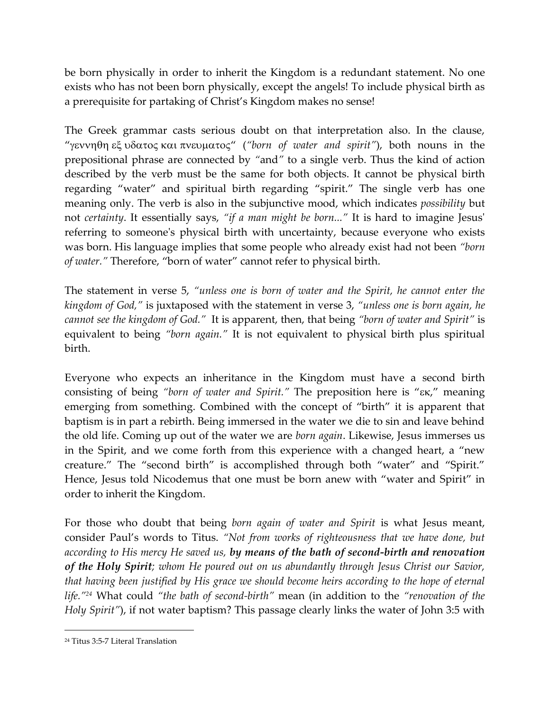be born physically in order to inherit the Kingdom is a redundant statement. No one exists who has not been born physically, except the angels! To include physical birth as a prerequisite for partaking of Christ's Kingdom makes no sense!

The Greek grammar casts serious doubt on that interpretation also. In the clause, "γεννηθη εξ υδατος και πνευματος" ("born of water and spirit"), both nouns in the prepositional phrase are connected by *"*and*"* to a single verb. Thus the kind of action described by the verb must be the same for both objects. It cannot be physical birth regarding "water" and spiritual birth regarding "spirit." The single verb has one meaning only. The verb is also in the subjunctive mood, which indicates *possibility* but not *certainty*. It essentially says, *"if a man might be born..."* It is hard to imagine Jesus' referring to someone's physical birth with uncertainty, because everyone who exists was born. His language implies that some people who already exist had not been *"born of water."* Therefore, "born of water" cannot refer to physical birth.

The statement in verse 5, *"unless one is born of water and the Spirit, he cannot enter the kingdom of God,"* is juxtaposed with the statement in verse 3, *"unless one is born again, he cannot see the kingdom of God."* It is apparent, then, that being *"born of water and Spirit"* is equivalent to being *"born again."* It is not equivalent to physical birth plus spiritual birth.

Everyone who expects an inheritance in the Kingdom must have a second birth consisting of being "born of water and Spirit." The preposition here is " $\epsilon \kappa$ ," meaning emerging from something. Combined with the concept of "birth" it is apparent that baptism is in part a rebirth. Being immersed in the water we die to sin and leave behind the old life. Coming up out of the water we are *born again*. Likewise, Jesus immerses us in the Spirit, and we come forth from this experience with a changed heart, a "new creature." The "second birth" is accomplished through both "water" and "Spirit." Hence, Jesus told Nicodemus that one must be born anew with "water and Spirit" in order to inherit the Kingdom.

For those who doubt that being *born again of water and Spirit* is what Jesus meant, consider Paul's words to Titus. *"Not from works of righteousness that we have done, but according to His mercy He saved us, by means of the bath of second-birth and renovation of the Holy Spirit; whom He poured out on us abundantly through Jesus Christ our Savior, that having been justified by His grace we should become heirs according to the hope of eternal life."<sup>24</sup>* What could *"the bath of second-birth"* mean (in addition to the *"renovation of the Holy Spirit"*), if not water baptism? This passage clearly links the water of John 3:5 with

<sup>24</sup> Titus 3:5-7 Literal Translation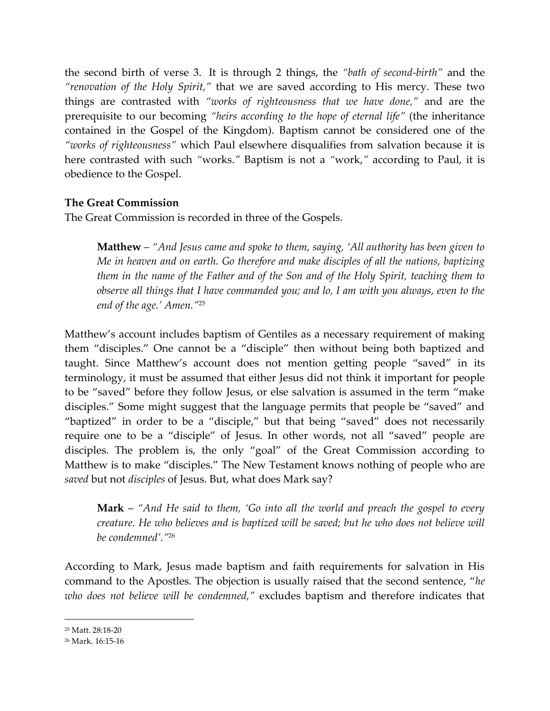the second birth of verse 3. It is through 2 things, the *"bath of second-birth"* and the *"renovation of the Holy Spirit,"* that we are saved according to His mercy. These two things are contrasted with *"works of righteousness that we have done,"* and are the prerequisite to our becoming *"heirs according to the hope of eternal life"* (the inheritance contained in the Gospel of the Kingdom). Baptism cannot be considered one of the *"works of righteousness"* which Paul elsewhere disqualifies from salvation because it is here contrasted with such *"*works.*"* Baptism is not a *"*work,*"* according to Paul, it is obedience to the Gospel.

# **The Great Commission**

The Great Commission is recorded in three of the Gospels.

**Matthew** – *"And Jesus came and spoke to them, saying, 'All authority has been given to Me in heaven and on earth. Go therefore and make disciples of all the nations, baptizing them in the name of the Father and of the Son and of the Holy Spirit, teaching them to observe all things that I have commanded you; and lo, I am with you always, even to the end of the age.' Amen."*<sup>25</sup>

Matthew's account includes baptism of Gentiles as a necessary requirement of making them "disciples." One cannot be a "disciple" then without being both baptized and taught. Since Matthew's account does not mention getting people "saved" in its terminology, it must be assumed that either Jesus did not think it important for people to be "saved" before they follow Jesus, or else salvation is assumed in the term "make disciples." Some might suggest that the language permits that people be "saved" and "baptized" in order to be a "disciple," but that being "saved" does not necessarily require one to be a "disciple" of Jesus. In other words, not all "saved" people are disciples. The problem is, the only "goal" of the Great Commission according to Matthew is to make "disciples." The New Testament knows nothing of people who are *saved* but not *disciples* of Jesus. But, what does Mark say?

**Mark** – *"And He said to them, 'Go into all the world and preach the gospel to every creature. He who believes and is baptized will be saved; but he who does not believe will be condemned'."*<sup>26</sup>

According to Mark, Jesus made baptism and faith requirements for salvation in His command to the Apostles. The objection is usually raised that the second sentence, "*he who does not believe will be condemned,"* excludes baptism and therefore indicates that

<sup>25</sup> Matt. 28:18-20

<sup>26</sup> Mark. 16:15-16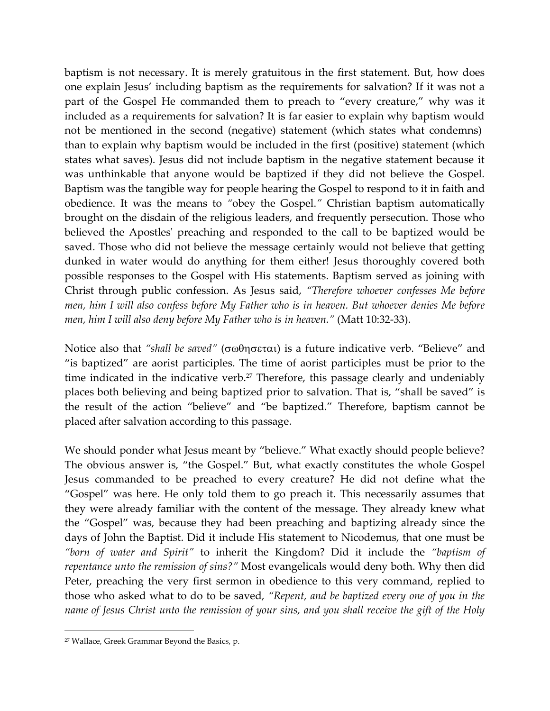baptism is not necessary. It is merely gratuitous in the first statement. But, how does one explain Jesus' including baptism as the requirements for salvation? If it was not a part of the Gospel He commanded them to preach to "every creature," why was it included as a requirements for salvation? It is far easier to explain why baptism would not be mentioned in the second (negative) statement (which states what condemns) than to explain why baptism would be included in the first (positive) statement (which states what saves). Jesus did not include baptism in the negative statement because it was unthinkable that anyone would be baptized if they did not believe the Gospel. Baptism was the tangible way for people hearing the Gospel to respond to it in faith and obedience. It was the means to *"*obey the Gospel.*"* Christian baptism automatically brought on the disdain of the religious leaders, and frequently persecution. Those who believed the Apostles' preaching and responded to the call to be baptized would be saved. Those who did not believe the message certainly would not believe that getting dunked in water would do anything for them either! Jesus thoroughly covered both possible responses to the Gospel with His statements. Baptism served as joining with Christ through public confession. As Jesus said, *"Therefore whoever confesses Me before men, him I will also confess before My Father who is in heaven. But whoever denies Me before men, him I will also deny before My Father who is in heaven."* (Matt 10:32-33).

Notice also that "*shall be saved"* ( $\sigma$ ωθησεται) is a future indicative verb. "Believe" and "is baptized" are aorist participles. The time of aorist participles must be prior to the time indicated in the indicative verb.<sup>27</sup> Therefore, this passage clearly and undeniably places both believing and being baptized prior to salvation. That is, "shall be saved" is the result of the action "believe" and "be baptized." Therefore, baptism cannot be placed after salvation according to this passage.

We should ponder what Jesus meant by "believe." What exactly should people believe? The obvious answer is, "the Gospel." But, what exactly constitutes the whole Gospel Jesus commanded to be preached to every creature? He did not define what the "Gospel" was here. He only told them to go preach it. This necessarily assumes that they were already familiar with the content of the message. They already knew what the "Gospel" was, because they had been preaching and baptizing already since the days of John the Baptist. Did it include His statement to Nicodemus, that one must be *"born of water and Spirit"* to inherit the Kingdom? Did it include the *"baptism of repentance unto the remission of sins?"* Most evangelicals would deny both. Why then did Peter, preaching the very first sermon in obedience to this very command, replied to those who asked what to do to be saved, *"Repent, and be baptized every one of you in the name of Jesus Christ unto the remission of your sins, and you shall receive the gift of the Holy* 

<sup>27</sup> Wallace, Greek Grammar Beyond the Basics, p.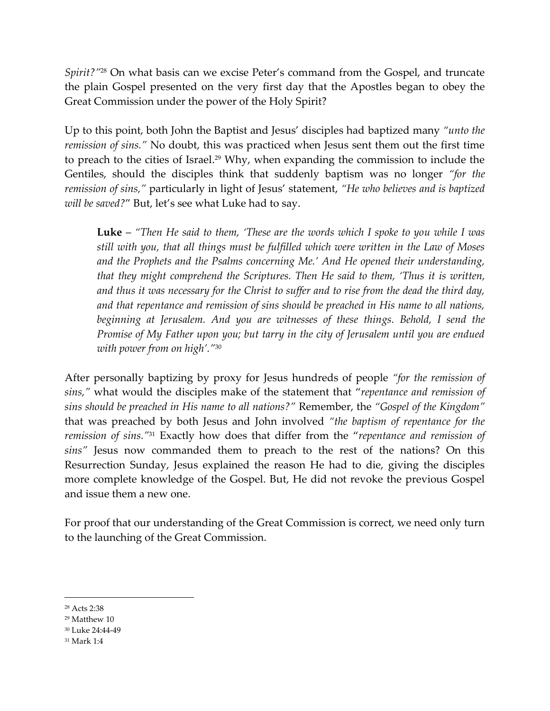*Spirit?"*<sup>28</sup> On what basis can we excise Peter's command from the Gospel, and truncate the plain Gospel presented on the very first day that the Apostles began to obey the Great Commission under the power of the Holy Spirit?

Up to this point, both John the Baptist and Jesus' disciples had baptized many *"unto the remission of sins."* No doubt, this was practiced when Jesus sent them out the first time to preach to the cities of Israel. <sup>29</sup> Why, when expanding the commission to include the Gentiles, should the disciples think that suddenly baptism was no longer *"for the remission of sins,"* particularly in light of Jesus' statement, *"He who believes and is baptized will be saved?*" But, let's see what Luke had to say.

**Luke** – *"Then He said to them, 'These are the words which I spoke to you while I was still with you, that all things must be fulfilled which were written in the Law of Moses and the Prophets and the Psalms concerning Me.' And He opened their understanding, that they might comprehend the Scriptures. Then He said to them, 'Thus it is written, and thus it was necessary for the Christ to suffer and to rise from the dead the third day, and that repentance and remission of sins should be preached in His name to all nations, beginning at Jerusalem. And you are witnesses of these things. Behold, I send the Promise of My Father upon you; but tarry in the city of Jerusalem until you are endued with power from on high'."*<sup>30</sup>

After personally baptizing by proxy for Jesus hundreds of people *"for the remission of sins,"* what would the disciples make of the statement that "*repentance and remission of sins should be preached in His name to all nations?"* Remember, the *"Gospel of the Kingdom"* that was preached by both Jesus and John involved *"the baptism of repentance for the remission of sins."* <sup>31</sup> Exactly how does that differ from the "*repentance and remission of sins"* Jesus now commanded them to preach to the rest of the nations? On this Resurrection Sunday, Jesus explained the reason He had to die, giving the disciples more complete knowledge of the Gospel. But, He did not revoke the previous Gospel and issue them a new one.

For proof that our understanding of the Great Commission is correct, we need only turn to the launching of the Great Commission.

<sup>28</sup> Acts 2:38

<sup>29</sup> Matthew 10

<sup>30</sup> Luke 24:44-49

<sup>31</sup> Mark 1:4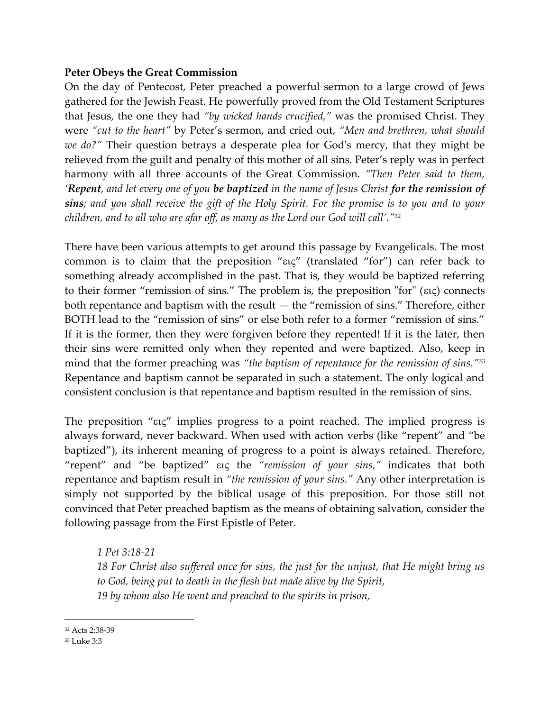# **Peter Obeys the Great Commission**

On the day of Pentecost, Peter preached a powerful sermon to a large crowd of Jews gathered for the Jewish Feast. He powerfully proved from the Old Testament Scriptures that Jesus, the one they had *"by wicked hands crucified,"* was the promised Christ. They were *"cut to the heart"* by Peter's sermon, and cried out, *"Men and brethren, what should we do?"* Their question betrays a desperate plea for God's mercy, that they might be relieved from the guilt and penalty of this mother of all sins. Peter's reply was in perfect harmony with all three accounts of the Great Commission. *"Then Peter said to them, 'Repent, and let every one of you be baptized in the name of Jesus Christ for the remission of sins; and you shall receive the gift of the Holy Spirit. For the promise is to you and to your children, and to all who are afar off, as many as the Lord our God will call'."* 32

There have been various attempts to get around this passage by Evangelicals. The most common is to claim that the preposition " $\epsilon \epsilon \zeta$ " (translated "for") can refer back to something already accomplished in the past. That is, they would be baptized referring to their former "remission of sins." The problem is, the preposition "for"  $(\epsilon \iota \zeta)$  connects both repentance and baptism with the result — the "remission of sins." Therefore, either BOTH lead to the "remission of sins" or else both refer to a former "remission of sins." If it is the former, then they were forgiven before they repented! If it is the later, then their sins were remitted only when they repented and were baptized. Also, keep in mind that the former preaching was *"the baptism of repentance for the remission of sins."* 33 Repentance and baptism cannot be separated in such a statement. The only logical and consistent conclusion is that repentance and baptism resulted in the remission of sins.

The preposition " $\epsilon$ u $\zeta$ " implies progress to a point reached. The implied progress is always forward, never backward. When used with action verbs (like "repent" and "be baptized"), its inherent meaning of progress to a point is always retained. Therefore, "repent" and "be baptized" the *"remission of your sins,"* indicates that both repentance and baptism result in *"the remission of your sins."* Any other interpretation is simply not supported by the biblical usage of this preposition. For those still not convinced that Peter preached baptism as the means of obtaining salvation, consider the following passage from the First Epistle of Peter.

*1 Pet 3:18-21*

*18 For Christ also suffered once for sins, the just for the unjust, that He might bring us to God, being put to death in the flesh but made alive by the Spirit, 19 by whom also He went and preached to the spirits in prison,*

<sup>32</sup> Acts 2:38-39

<sup>33</sup> Luke 3:3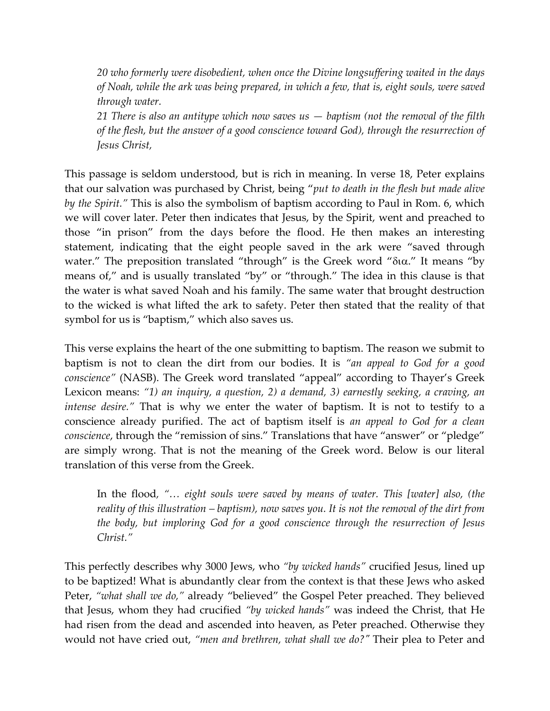*20 who formerly were disobedient, when once the Divine longsuffering waited in the days of Noah, while the ark was being prepared, in which a few, that is, eight souls, were saved through water.*

*21 There is also an antitype which now saves us — baptism (not the removal of the filth of the flesh, but the answer of a good conscience toward God), through the resurrection of Jesus Christ,*

This passage is seldom understood, but is rich in meaning. In verse 18, Peter explains that our salvation was purchased by Christ, being "*put to death in the flesh but made alive by the Spirit."* This is also the symbolism of baptism according to Paul in Rom. 6, which we will cover later. Peter then indicates that Jesus, by the Spirit, went and preached to those "in prison" from the days before the flood. He then makes an interesting statement, indicating that the eight people saved in the ark were "saved through water." The preposition translated "through" is the Greek word " $\delta$ i $\alpha$ ." It means "by means of," and is usually translated "by" or "through." The idea in this clause is that the water is what saved Noah and his family. The same water that brought destruction to the wicked is what lifted the ark to safety. Peter then stated that the reality of that symbol for us is "baptism," which also saves us.

This verse explains the heart of the one submitting to baptism. The reason we submit to baptism is not to clean the dirt from our bodies. It is *"an appeal to God for a good conscience"* (NASB). The Greek word translated "appeal" according to Thayer's Greek Lexicon means: *"1) an inquiry, a question, 2) a demand, 3) earnestly seeking, a craving, an intense desire."* That is why we enter the water of baptism. It is not to testify to a conscience already purified. The act of baptism itself is *an appeal to God for a clean conscience*, through the "remission of sins." Translations that have "answer" or "pledge" are simply wrong. That is not the meaning of the Greek word. Below is our literal translation of this verse from the Greek.

In the flood*, "… eight souls were saved by means of water. This [water] also, (the reality of this illustration – baptism), now saves you. It is not the removal of the dirt from the body, but imploring God for a good conscience through the resurrection of Jesus Christ."*

This perfectly describes why 3000 Jews, who *"by wicked hands"* crucified Jesus, lined up to be baptized! What is abundantly clear from the context is that these Jews who asked Peter, *"what shall we do,"* already "believed" the Gospel Peter preached. They believed that Jesus, whom they had crucified *"by wicked hands"* was indeed the Christ, that He had risen from the dead and ascended into heaven, as Peter preached. Otherwise they would not have cried out, *"men and brethren, what shall we do?"* Their plea to Peter and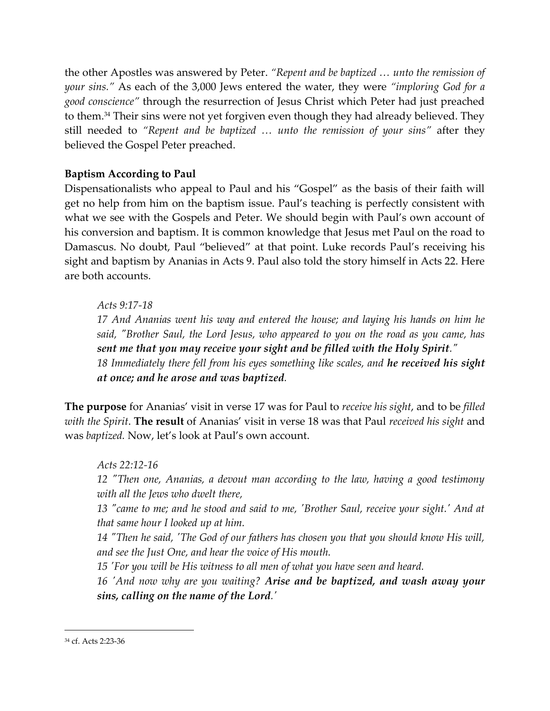the other Apostles was answered by Peter. *"Repent and be baptized … unto the remission of your sins."* As each of the 3,000 Jews entered the water, they were *"imploring God for a good conscience"* through the resurrection of Jesus Christ which Peter had just preached to them. <sup>34</sup> Their sins were not yet forgiven even though they had already believed. They still needed to *"Repent and be baptized … unto the remission of your sins"* after they believed the Gospel Peter preached.

# **Baptism According to Paul**

Dispensationalists who appeal to Paul and his "Gospel" as the basis of their faith will get no help from him on the baptism issue. Paul's teaching is perfectly consistent with what we see with the Gospels and Peter. We should begin with Paul's own account of his conversion and baptism. It is common knowledge that Jesus met Paul on the road to Damascus. No doubt, Paul "believed" at that point. Luke records Paul's receiving his sight and baptism by Ananias in Acts 9. Paul also told the story himself in Acts 22. Here are both accounts.

*Acts 9:17-18*

*17 And Ananias went his way and entered the house; and laying his hands on him he said, "Brother Saul, the Lord Jesus, who appeared to you on the road as you came, has sent me that you may receive your sight and be filled with the Holy Spirit." 18 Immediately there fell from his eyes something like scales, and he received his sight at once; and he arose and was baptized.*

**The purpose** for Ananias' visit in verse 17 was for Paul to *receive his sight*, and to be *filled with the Spirit*. **The result** of Ananias' visit in verse 18 was that Paul *received his sight* and was *baptized.* Now, let's look at Paul's own account.

*Acts 22:12-16 12 "Then one, Ananias, a devout man according to the law, having a good testimony with all the Jews who dwelt there,*

*13 "came to me; and he stood and said to me, 'Brother Saul, receive your sight.' And at that same hour I looked up at him.*

*14 "Then he said, 'The God of our fathers has chosen you that you should know His will, and see the Just One, and hear the voice of His mouth.*

*15 'For you will be His witness to all men of what you have seen and heard.*

*16 'And now why are you waiting? Arise and be baptized, and wash away your sins, calling on the name of the Lord.'*

<sup>34</sup> cf. Acts 2:23-36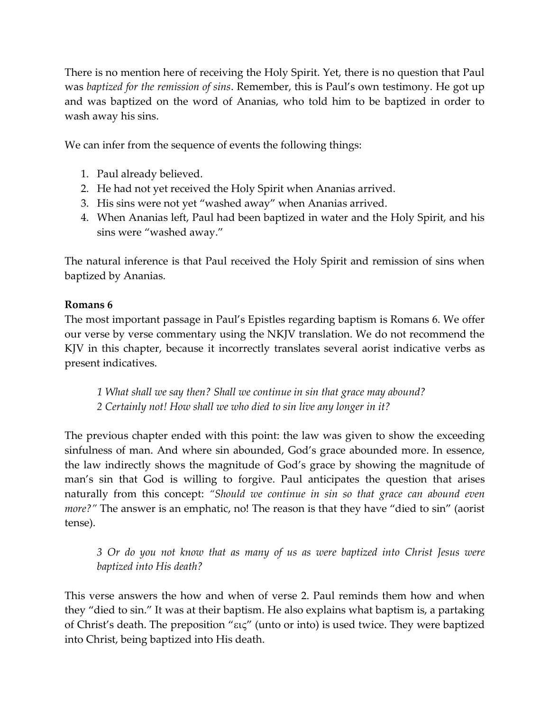There is no mention here of receiving the Holy Spirit. Yet, there is no question that Paul was *baptized for the remission of sins*. Remember, this is Paul's own testimony. He got up and was baptized on the word of Ananias, who told him to be baptized in order to wash away his sins.

We can infer from the sequence of events the following things:

- 1. Paul already believed.
- 2. He had not yet received the Holy Spirit when Ananias arrived.
- 3. His sins were not yet "washed away" when Ananias arrived.
- 4. When Ananias left, Paul had been baptized in water and the Holy Spirit, and his sins were "washed away."

The natural inference is that Paul received the Holy Spirit and remission of sins when baptized by Ananias.

# **Romans 6**

The most important passage in Paul's Epistles regarding baptism is Romans 6. We offer our verse by verse commentary using the NKJV translation. We do not recommend the KJV in this chapter, because it incorrectly translates several aorist indicative verbs as present indicatives.

*1 What shall we say then? Shall we continue in sin that grace may abound? 2 Certainly not! How shall we who died to sin live any longer in it?*

The previous chapter ended with this point: the law was given to show the exceeding sinfulness of man. And where sin abounded, God's grace abounded more. In essence, the law indirectly shows the magnitude of God's grace by showing the magnitude of man's sin that God is willing to forgive. Paul anticipates the question that arises naturally from this concept: *"Should we continue in sin so that grace can abound even more?"* The answer is an emphatic, no! The reason is that they have "died to sin" (aorist tense).

*3 Or do you not know that as many of us as were baptized into Christ Jesus were baptized into His death?*

This verse answers the how and when of verse 2. Paul reminds them how and when they "died to sin." It was at their baptism. He also explains what baptism is, a partaking of Christ's death. The preposition " $\epsilon \kappa \zeta$ " (unto or into) is used twice. They were baptized into Christ, being baptized into His death.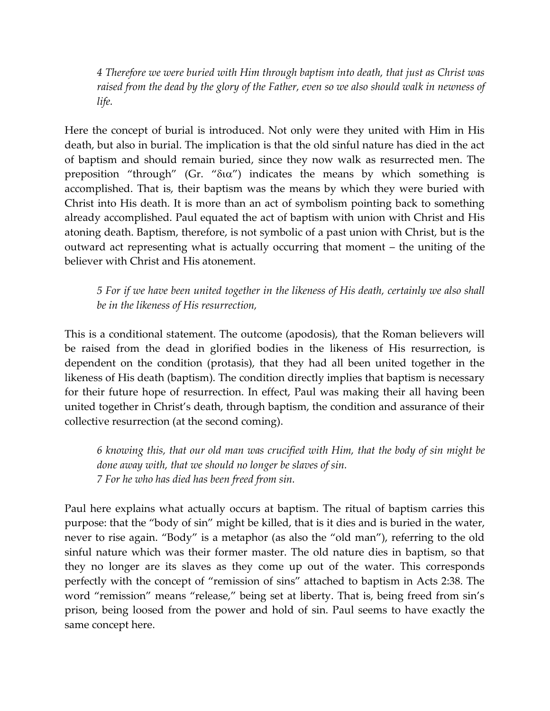*4 Therefore we were buried with Him through baptism into death, that just as Christ was raised from the dead by the glory of the Father, even so we also should walk in newness of life.*

Here the concept of burial is introduced. Not only were they united with Him in His death, but also in burial. The implication is that the old sinful nature has died in the act of baptism and should remain buried, since they now walk as resurrected men. The preposition "through" (Gr. " $\delta$ i $\alpha$ ") indicates the means by which something is accomplished. That is, their baptism was the means by which they were buried with Christ into His death. It is more than an act of symbolism pointing back to something already accomplished. Paul equated the act of baptism with union with Christ and His atoning death. Baptism, therefore, is not symbolic of a past union with Christ, but is the outward act representing what is actually occurring that moment – the uniting of the believer with Christ and His atonement.

*5 For if we have been united together in the likeness of His death, certainly we also shall be in the likeness of His resurrection,*

This is a conditional statement. The outcome (apodosis), that the Roman believers will be raised from the dead in glorified bodies in the likeness of His resurrection, is dependent on the condition (protasis), that they had all been united together in the likeness of His death (baptism). The condition directly implies that baptism is necessary for their future hope of resurrection. In effect, Paul was making their all having been united together in Christ's death, through baptism, the condition and assurance of their collective resurrection (at the second coming).

*6 knowing this, that our old man was crucified with Him, that the body of sin might be done away with, that we should no longer be slaves of sin. 7 For he who has died has been freed from sin.*

Paul here explains what actually occurs at baptism. The ritual of baptism carries this purpose: that the "body of sin" might be killed, that is it dies and is buried in the water, never to rise again. "Body" is a metaphor (as also the "old man"), referring to the old sinful nature which was their former master. The old nature dies in baptism, so that they no longer are its slaves as they come up out of the water. This corresponds perfectly with the concept of "remission of sins" attached to baptism in Acts 2:38. The word "remission" means "release," being set at liberty. That is, being freed from sin's prison, being loosed from the power and hold of sin. Paul seems to have exactly the same concept here.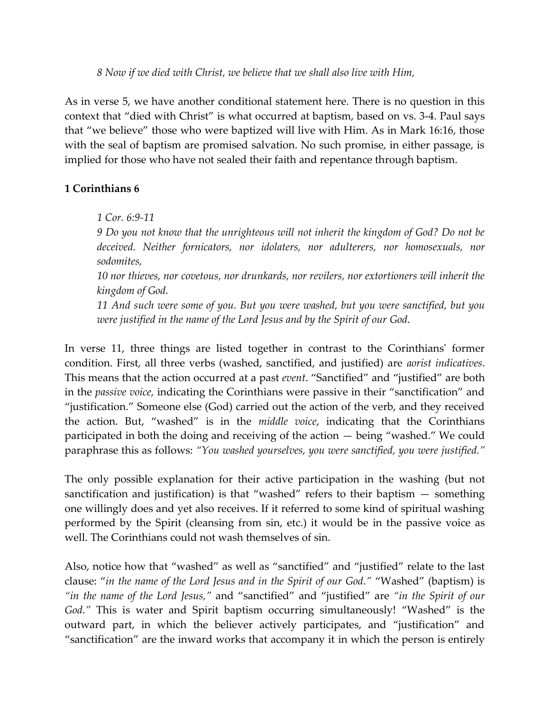*8 Now if we died with Christ, we believe that we shall also live with Him,*

As in verse 5, we have another conditional statement here. There is no question in this context that "died with Christ" is what occurred at baptism, based on vs. 3-4. Paul says that "we believe" those who were baptized will live with Him. As in Mark 16:16, those with the seal of baptism are promised salvation. No such promise, in either passage, is implied for those who have not sealed their faith and repentance through baptism.

# **1 Corinthians 6**

*1 Cor. 6:9-11*

*9 Do you not know that the unrighteous will not inherit the kingdom of God? Do not be deceived. Neither fornicators, nor idolaters, nor adulterers, nor homosexuals, nor sodomites,*

*10 nor thieves, nor covetous, nor drunkards, nor revilers, nor extortioners will inherit the kingdom of God.*

*11 And such were some of you. But you were washed, but you were sanctified, but you were justified in the name of the Lord Jesus and by the Spirit of our God.*

In verse 11, three things are listed together in contrast to the Corinthians' former condition. First, all three verbs (washed, sanctified, and justified) are *aorist indicatives*. This means that the action occurred at a past *event*. "Sanctified" and "justified" are both in the *passive voice,* indicating the Corinthians were passive in their "sanctification" and "justification." Someone else (God) carried out the action of the verb, and they received the action. But, "washed" is in the *middle voice*, indicating that the Corinthians participated in both the doing and receiving of the action — being "washed." We could paraphrase this as follows: *"You washed yourselves, you were sanctified, you were justified."*

The only possible explanation for their active participation in the washing (but not sanctification and justification) is that "washed" refers to their baptism  $-$  something one willingly does and yet also receives. If it referred to some kind of spiritual washing performed by the Spirit (cleansing from sin, etc.) it would be in the passive voice as well. The Corinthians could not wash themselves of sin.

Also, notice how that "washed" as well as "sanctified" and "justified" relate to the last clause: "*in the name of the Lord Jesus and in the Spirit of our God."* "Washed" (baptism) is *"in the name of the Lord Jesus,"* and "sanctified" and "justified" are *"in the Spirit of our God."* This is water and Spirit baptism occurring simultaneously! "Washed" is the outward part, in which the believer actively participates, and "justification" and "sanctification" are the inward works that accompany it in which the person is entirely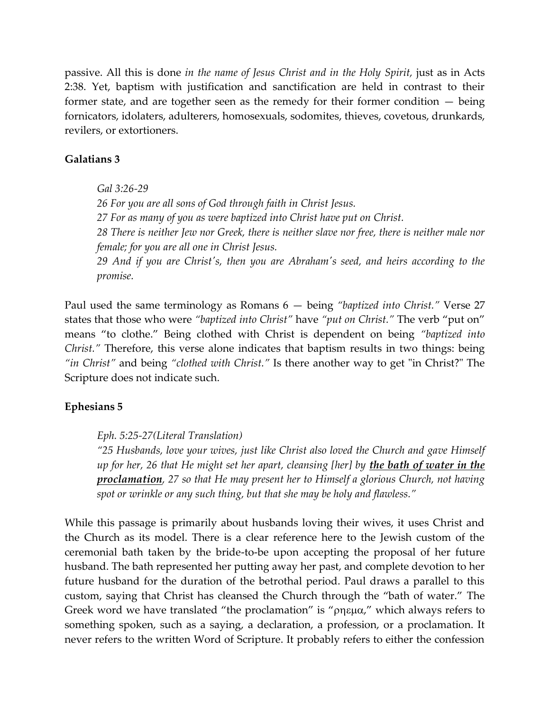passive. All this is done *in the name of Jesus Christ and in the Holy Spirit,* just as in Acts 2:38. Yet, baptism with justification and sanctification are held in contrast to their former state, and are together seen as the remedy for their former condition — being fornicators, idolaters, adulterers, homosexuals, sodomites, thieves, covetous, drunkards, revilers, or extortioners.

### **Galatians 3**

*Gal 3:26-29 26 For you are all sons of God through faith in Christ Jesus. 27 For as many of you as were baptized into Christ have put on Christ. 28 There is neither Jew nor Greek, there is neither slave nor free, there is neither male nor female; for you are all one in Christ Jesus. 29 And if you are Christ's, then you are Abraham's seed, and heirs according to the promise.*

Paul used the same terminology as Romans 6 — being *"baptized into Christ."* Verse 27 states that those who were *"baptized into Christ"* have *"put on Christ."* The verb "put on" means "to clothe." Being clothed with Christ is dependent on being *"baptized into Christ."* Therefore, this verse alone indicates that baptism results in two things: being *"in Christ"* and being *"clothed with Christ."* Is there another way to get "in Christ?" The Scripture does not indicate such.

### **Ephesians 5**

#### *Eph. 5:25-27(Literal Translation)*

*"25 Husbands, love your wives, just like Christ also loved the Church and gave Himself up for her, 26 that He might set her apart, cleansing [her] by the bath of water in the proclamation, 27 so that He may present her to Himself a glorious Church, not having spot or wrinkle or any such thing, but that she may be holy and flawless."*

While this passage is primarily about husbands loving their wives, it uses Christ and the Church as its model. There is a clear reference here to the Jewish custom of the ceremonial bath taken by the bride-to-be upon accepting the proposal of her future husband. The bath represented her putting away her past, and complete devotion to her future husband for the duration of the betrothal period. Paul draws a parallel to this custom, saying that Christ has cleansed the Church through the "bath of water." The Greek word we have translated "the proclamation" is " $\rho$ ηεμα," which always refers to something spoken, such as a saying, a declaration, a profession, or a proclamation. It never refers to the written Word of Scripture. It probably refers to either the confession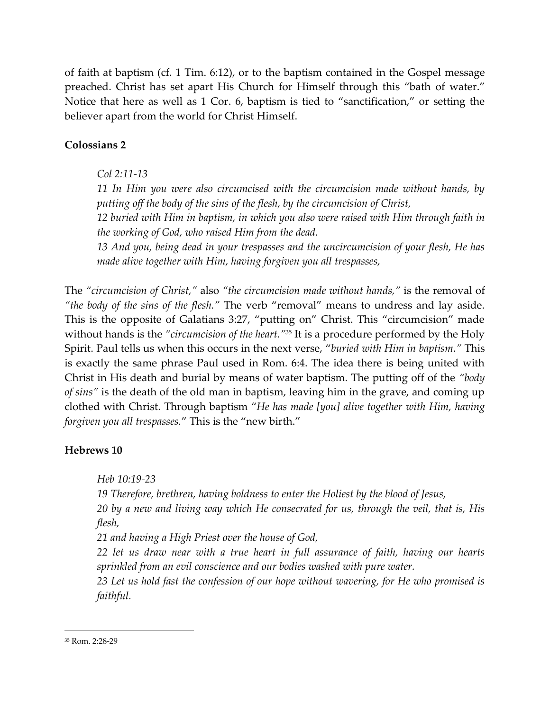of faith at baptism (cf. 1 Tim. 6:12), or to the baptism contained in the Gospel message preached. Christ has set apart His Church for Himself through this "bath of water." Notice that here as well as 1 Cor. 6, baptism is tied to "sanctification," or setting the believer apart from the world for Christ Himself.

# **Colossians 2**

### *Col 2:11-13*

*11 In Him you were also circumcised with the circumcision made without hands, by putting off the body of the sins of the flesh, by the circumcision of Christ,*

*12 buried with Him in baptism, in which you also were raised with Him through faith in the working of God, who raised Him from the dead.*

*13 And you, being dead in your trespasses and the uncircumcision of your flesh, He has made alive together with Him, having forgiven you all trespasses,*

The *"circumcision of Christ,"* also *"the circumcision made without hands,"* is the removal of *"the body of the sins of the flesh."* The verb "removal" means to undress and lay aside. This is the opposite of Galatians 3:27, "putting on" Christ. This "circumcision" made without hands is the *"circumcision of the heart."* <sup>35</sup> It is a procedure performed by the Holy Spirit. Paul tells us when this occurs in the next verse, "*buried with Him in baptism."* This is exactly the same phrase Paul used in Rom. 6:4. The idea there is being united with Christ in His death and burial by means of water baptism. The putting off of the *"body of sins"* is the death of the old man in baptism, leaving him in the grave, and coming up clothed with Christ. Through baptism "*He has made [you] alive together with Him, having forgiven you all trespasses.*" This is the "new birth."

### **Hebrews 10**

*Heb 10:19-23*

*19 Therefore, brethren, having boldness to enter the Holiest by the blood of Jesus, 20 by a new and living way which He consecrated for us, through the veil, that is, His flesh,*

*21 and having a High Priest over the house of God,*

*22 let us draw near with a true heart in full assurance of faith, having our hearts sprinkled from an evil conscience and our bodies washed with pure water.*

*23 Let us hold fast the confession of our hope without wavering, for He who promised is faithful.*

<sup>35</sup> Rom. 2:28-29